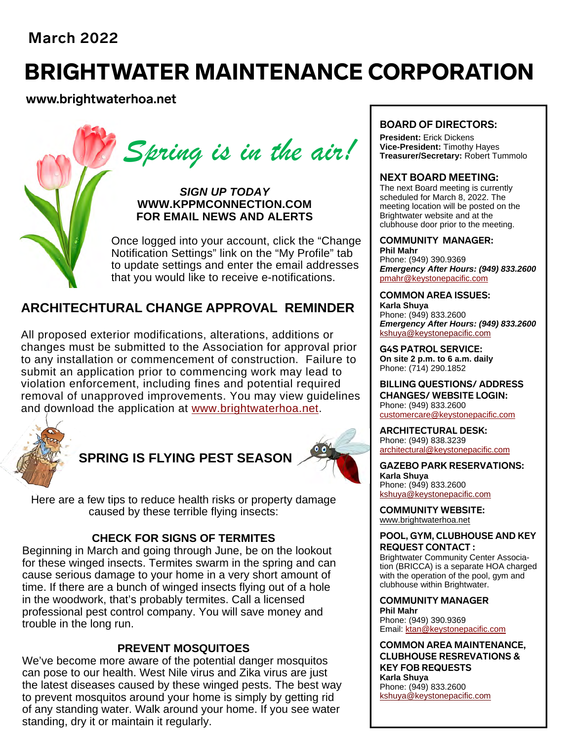## **March 2022**

# BRIGHTWATER MAINTENANCE CORPORATION

### **www.brightwaterhoa.net**

 *Spring is in the air!* 

*SIGN UP TODAY*  **WWW.KPPMCONNECTION.COM FOR EMAIL NEWS AND ALERTS** 

Once logged into your account, click the "Change Notification Settings" link on the "My Profile" tab to update settings and enter the email addresses that you would like to receive e-notifications.

### **ARCHITECHTURAL CHANGE APPROVAL REMINDER**

All proposed exterior modifications, alterations, additions or changes must be submitted to the Association for approval prior to any installation or commencement of construction. Failure to submit an application prior to commencing work may lead to violation enforcement, including fines and potential required removal of unapproved improvements. You may view guidelines and download the application at www.brightwaterhoa.net.



# **SPRING IS FLYING PEST SEASON**



Here are a few tips to reduce health risks or property damage caused by these terrible flying insects:

#### **CHECK FOR SIGNS OF TERMITES**

Beginning in March and going through June, be on the lookout for these winged insects. Termites swarm in the spring and can cause serious damage to your home in a very short amount of time. If there are a bunch of winged insects flying out of a hole in the woodwork, that's probably termites. Call a licensed professional pest control company. You will save money and trouble in the long run.

#### **PREVENT MOSQUITOES**

We've become more aware of the potential danger mosquitos can pose to our health. West Nile virus and Zika virus are just the latest diseases caused by these winged pests. The best way to prevent mosquitos around your home is simply by getting rid of any standing water. Walk around your home. If you see water standing, dry it or maintain it regularly.

#### **BOARD OF DIRECTORS:**

**President:** Erick Dickens **Vice-President:** Timothy Hayes **Treasurer/Secretary:** Robert Tummolo

#### **NEXT BOARD MEETING:**

The next Board meeting is currently scheduled for March 8, 2022. The meeting location will be posted on the Brightwater website and at the clubhouse door prior to the meeting.

#### **COMMUNITY MANAGER:**

**Phil Mahr** Phone: (949) 390.9369 *Emergency After Hours: (949) 833.2600* pmahr@keystonepacific.com

#### **COMMON AREA ISSUES:**

**Karla Shuya** Phone: (949) 833.2600 *Emergency After Hours: (949) 833.2600* kshuya@keystonepacific.com

**G4S PATROL SERVICE: On site 2 p.m. to 6 a.m. daily** Phone: (714) 290.1852

**BILLING QUESTIONS/ ADDRESS CHANGES/ WEBSITE LOGIN:** Phone: (949) 833.2600 customercare@keystonepacific.com

**ARCHITECTURAL DESK:** Phone: (949) 838.3239 architectural@keystonepacific.com

**GAZEBO PARK RESERVATIONS: Karla Shuya** Phone: (949) 833.2600 kshuya@keystonepacific.com

**COMMUNITY WEBSITE:** www.brightwaterhoa.net

#### **POOL, GYM, CLUBHOUSE AND KEY REQUEST CONTACT :**

Brightwater Community Center Association (BRICCA) is a separate HOA charged with the operation of the pool, gym and clubhouse within Brightwater.

**COMMUNITY MANAGER Phil Mahr**  Phone: (949) 390.9369 Email: ktan@keystonepacific.com

**COMMON AREA MAINTENANCE, CLUBHOUSE RESREVATIONS & KEY FOB REQUESTS Karla Shuya** Phone: (949) 833.2600 kshuya@keystonepacific.com